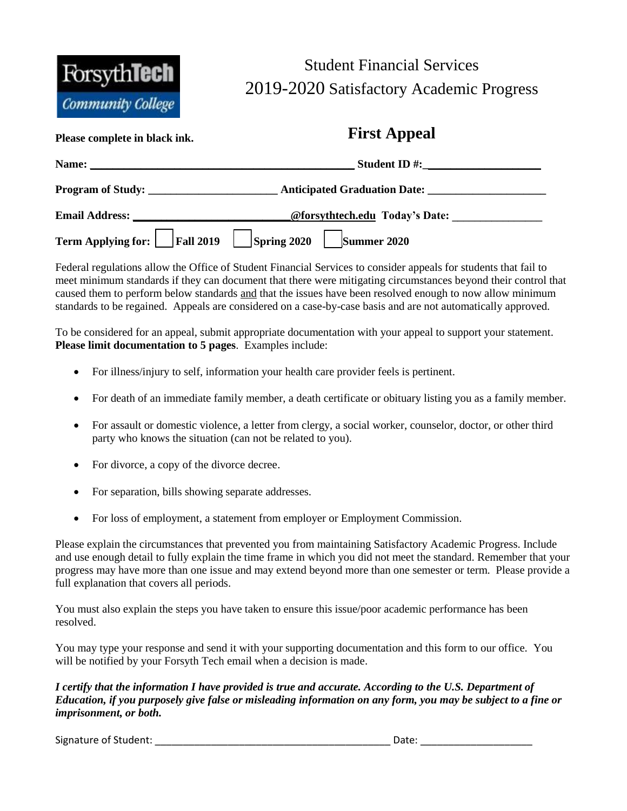

## Student Financial Services 2019-2020 Satisfactory Academic Progress

| I lease complete in black lift.                      | $= 200$                                                                                                                                                                                                                              |  |
|------------------------------------------------------|--------------------------------------------------------------------------------------------------------------------------------------------------------------------------------------------------------------------------------------|--|
|                                                      |                                                                                                                                                                                                                                      |  |
| Program of Study:                                    |                                                                                                                                                                                                                                      |  |
|                                                      | Email Address: <u>Charless Charless Constitution of Constantine Constantine Constantine Constantine Constantine Constantine Constantine Constantine Constantine Constantine Constantine Constantine Constantine Constantine Cons</u> |  |
| Term Applying for: Fall 2019 Spring 2020 Summer 2020 |                                                                                                                                                                                                                                      |  |

**Please complete in black ink. First Appeal** 

Federal regulations allow the Office of Student Financial Services to consider appeals for students that fail to meet minimum standards if they can document that there were mitigating circumstances beyond their control that caused them to perform below standards and that the issues have been resolved enough to now allow minimum standards to be regained. Appeals are considered on a case-by-case basis and are not automatically approved.

To be considered for an appeal, submit appropriate documentation with your appeal to support your statement. **Please limit documentation to 5 pages**. Examples include:

- For illness/injury to self, information your health care provider feels is pertinent.
- For death of an immediate family member, a death certificate or obituary listing you as a family member.
- For assault or domestic violence, a letter from clergy, a social worker, counselor, doctor, or other third party who knows the situation (can not be related to you).
- For divorce, a copy of the divorce decree.
- For separation, bills showing separate addresses.
- For loss of employment, a statement from employer or Employment Commission.

Please explain the circumstances that prevented you from maintaining Satisfactory Academic Progress. Include and use enough detail to fully explain the time frame in which you did not meet the standard. Remember that your progress may have more than one issue and may extend beyond more than one semester or term. Please provide a full explanation that covers all periods.

You must also explain the steps you have taken to ensure this issue/poor academic performance has been resolved.

You may type your response and send it with your supporting documentation and this form to our office. You will be notified by your Forsyth Tech email when a decision is made.

*I certify that the information I have provided is true and accurate. According to the U.S. Department of Education, if you purposely give false or misleading information on any form, you may be subject to a fine or imprisonment, or both.* 

Signature of Student: \_\_\_\_\_\_\_\_\_\_\_\_\_\_\_\_\_\_\_\_\_\_\_\_\_\_\_\_\_\_\_\_\_\_\_\_\_\_\_\_\_\_ Date: \_\_\_\_\_\_\_\_\_\_\_\_\_\_\_\_\_\_\_\_